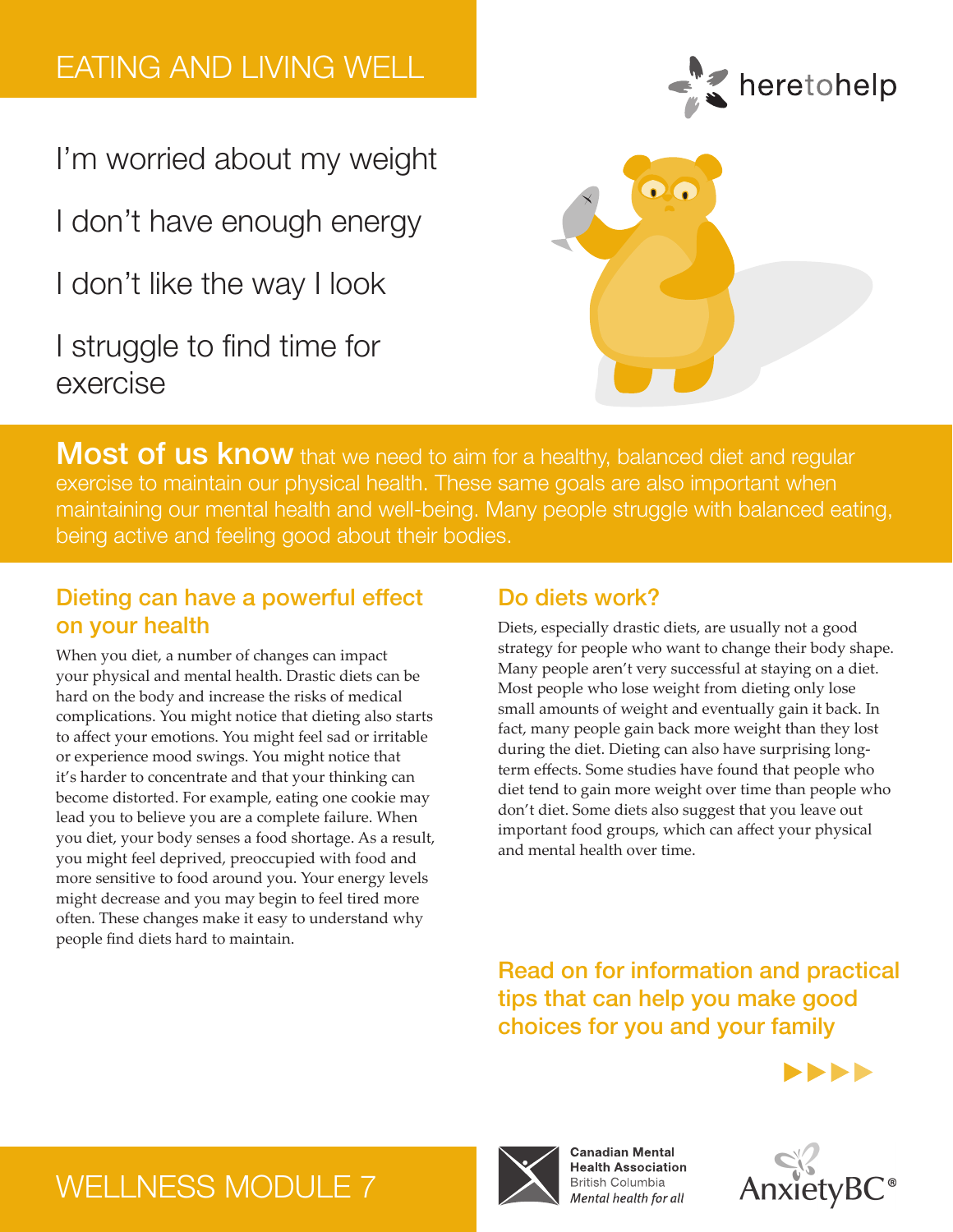# EATING AND LIVING WELL

I'm worried about my weight

I don't have enough energy

I don't like the way I look

I struggle to find time for exercise





Most of us know that we need to aim for a healthy, balanced diet and regular exercise to maintain our physical health. These same goals are also important when maintaining our mental health and well-being. Many people struggle with balanced eating, being active and feeling good about their bodies.

## Dieting can have a powerful effect on your health

When you diet, a number of changes can impact your physical and mental health. Drastic diets can be hard on the body and increase the risks of medical complications. You might notice that dieting also starts to affect your emotions. You might feel sad or irritable or experience mood swings. You might notice that it's harder to concentrate and that your thinking can become distorted. For example, eating one cookie may lead you to believe you are a complete failure. When you diet, your body senses a food shortage. As a result, you might feel deprived, preoccupied with food and more sensitive to food around you. Your energy levels might decrease and you may begin to feel tired more often. These changes make it easy to understand why people find diets hard to maintain.

## Do diets work?

Diets, especially drastic diets, are usually not a good strategy for people who want to change their body shape. Many people aren't very successful at staying on a diet. Most people who lose weight from dieting only lose small amounts of weight and eventually gain it back. In fact, many people gain back more weight than they lost during the diet. Dieting can also have surprising longterm effects. Some studies have found that people who diet tend to gain more weight over time than people who don't diet. Some diets also suggest that you leave out important food groups, which can affect your physical and mental health over time.

Read on for information and practical tips that can help you make good choices for you and your family





# WELLNESS MODULE 7



**Canadian Mental Health Association British Columbia** Mental health for all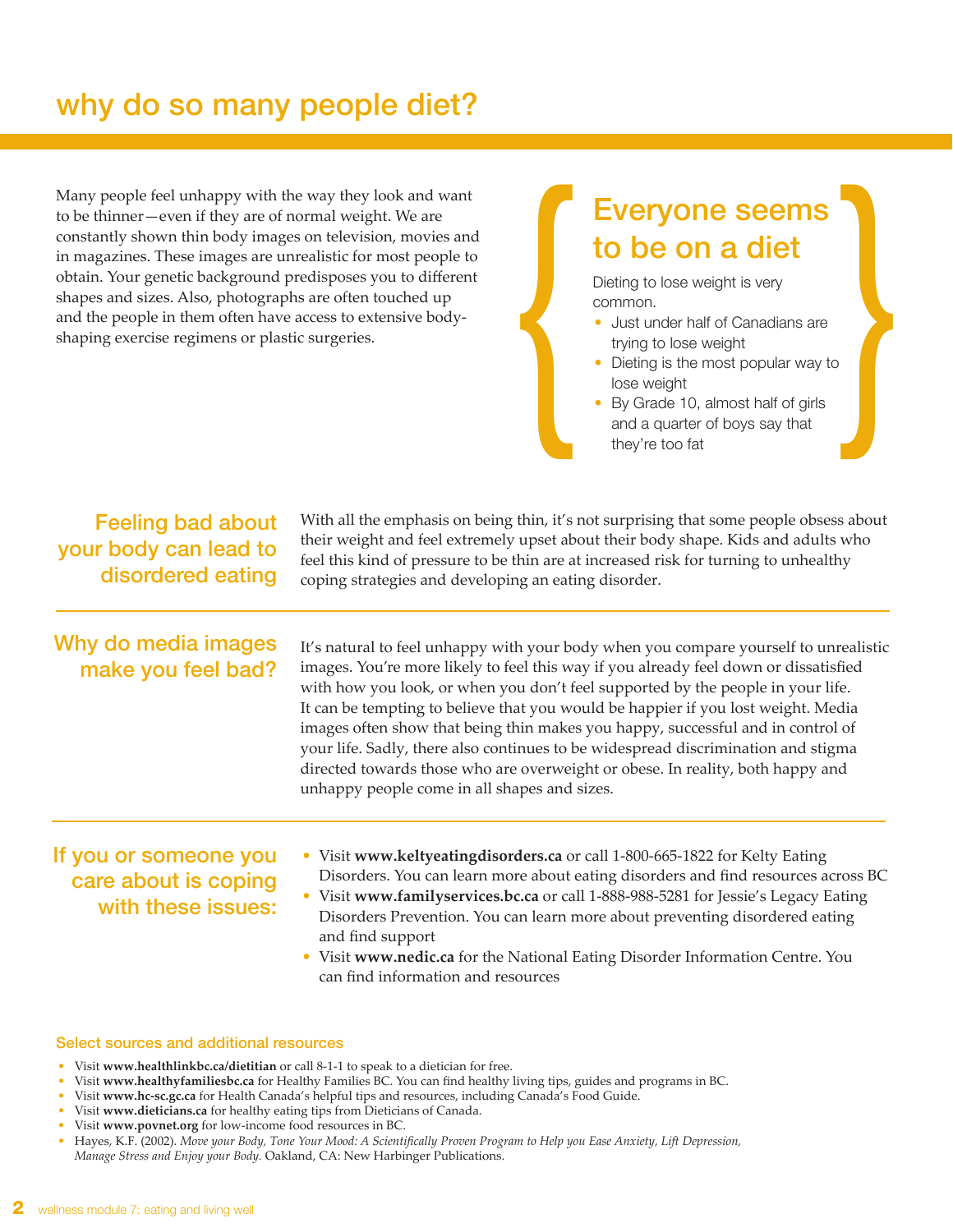## why do so many people diet?

Many people feel unhappy with the way they look and want to be thinner—even if they are of normal weight. We are constantly shown thin body images on television, movies and in magazines. These images are unrealistic for most people to obtain. Your genetic background predisposes you to different shapes and sizes. Also, photographs are often touched up and the people in them often have access to extensive bodyshaping exercise regimens or plastic surgeries.

# Everyone seems to be on a diet Everyone seems<br>
to be on a diet<br>
Dieting to lose weight is very<br>
common.<br>
Just under half of Canadians are<br>
trying to lose weight<br>
• Dieting is the most popular way to<br>
lose weight<br>
• By Grade 10, almost half of girls<br>
and

Dieting to lose weight is very common.

- Just under half of Canadians are trying to lose weight
- Dieting is the most popular way to lose weight
- By Grade 10, almost half of girls and a quarter of boys say that

Feeling bad about your body can lead to disordered eating

Why do media images make you feel bad?

It's natural to feel unhappy with your body when you compare yourself to unrealistic images. You're more likely to feel this way if you already feel down or dissatisfied with how you look, or when you don't feel supported by the people in your life. It can be tempting to believe that you would be happier if you lost weight. Media images often show that being thin makes you happy, successful and in control of your life. Sadly, there also continues to be widespread discrimination and stigma directed towards those who are overweight or obese. In reality, both happy and unhappy people come in all shapes and sizes.

With all the emphasis on being thin, it's not surprising that some people obsess about their weight and feel extremely upset about their body shape. Kids and adults who feel this kind of pressure to be thin are at increased risk for turning to unhealthy

coping strategies and developing an eating disorder.

#### If you or someone you care about is coping with these issues:

- Visit **www.keltyeatingdisorders.ca** or call 1-800-665-1822 for Kelty Eating Disorders. You can learn more about eating disorders and find resources across BC
- Visit **www.familyservices.bc.ca** or call 1-888-988-5281 for Jessie's Legacy Eating Disorders Prevention. You can learn more about preventing disordered eating and find support
- Visit **www.nedic.ca** for the National Eating Disorder Information Centre. You can find information and resources

#### Select sources and additional resources

- Visit **www.healthlinkbc.ca/dietitian** or call 8-1-1 to speak to a dietician for free.
- Visit **www.healthyfamiliesbc.ca** for Healthy Families BC. You can find healthy living tips, guides and programs in BC.
- Visit **www.hc-sc.gc.ca** for Health Canada's helpful tips and resources, including Canada's Food Guide.
- Visit **www.dieticians.ca** for healthy eating tips from Dieticians of Canada.
- Visit **www.povnet.org** for low-income food resources in BC.
- Hayes, K.F. (2002). *Move your Body, Tone Your Mood: A Scientifically Proven Program to Help you Ease Anxiety, Lift Depression, Manage Stress and Enjoy your Body.* Oakland, CA: New Harbinger Publications.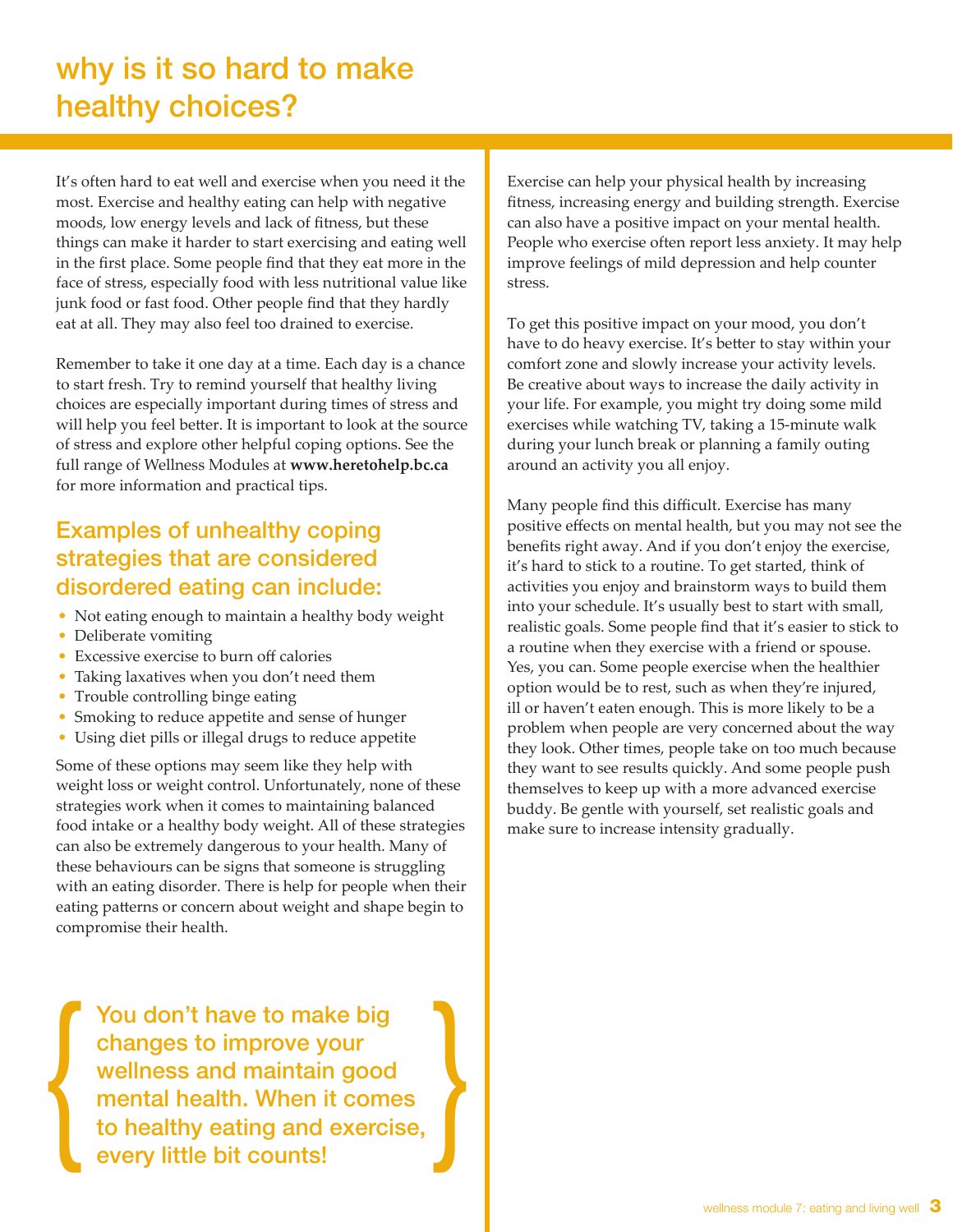## why is it so hard to make healthy choices?

It's often hard to eat well and exercise when you need it the most. Exercise and healthy eating can help with negative moods, low energy levels and lack of fitness, but these things can make it harder to start exercising and eating well in the first place. Some people find that they eat more in the face of stress, especially food with less nutritional value like junk food or fast food. Other people find that they hardly eat at all. They may also feel too drained to exercise.

Remember to take it one day at a time. Each day is a chance to start fresh. Try to remind yourself that healthy living choices are especially important during times of stress and will help you feel better. It is important to look at the source of stress and explore other helpful coping options. See the full range of Wellness Modules at **www.heretohelp.bc.ca** for more information and practical tips.

## Examples of unhealthy coping strategies that are considered disordered eating can include:

- Not eating enough to maintain a healthy body weight
- Deliberate vomiting
- Excessive exercise to burn off calories
- Taking laxatives when you don't need them
- Trouble controlling binge eating
- Smoking to reduce appetite and sense of hunger
- Using diet pills or illegal drugs to reduce appetite

Some of these options may seem like they help with weight loss or weight control. Unfortunately, none of these strategies work when it comes to maintaining balanced food intake or a healthy body weight. All of these strategies can also be extremely dangerous to your health. Many of these behaviours can be signs that someone is struggling with an eating disorder. There is help for people when their eating patterns or concern about weight and shape begin to compromise their health.

You don't have to make big changes to improve your wellness and maintain good mental health. When it comes to healthy eating and exercise, You don't have to make big<br>
compromise their health.<br>
<br>
You don't have to make big<br>
changes to improve your<br>
wellness and maintain good<br>
mental health. When it comes<br>
to healthy eating and exercise,<br>
every little bit count Exercise can help your physical health by increasing fitness, increasing energy and building strength. Exercise can also have a positive impact on your mental health. People who exercise often report less anxiety. It may help improve feelings of mild depression and help counter stress.

To get this positive impact on your mood, you don't have to do heavy exercise. It's better to stay within your comfort zone and slowly increase your activity levels. Be creative about ways to increase the daily activity in your life. For example, you might try doing some mild exercises while watching TV, taking a 15-minute walk during your lunch break or planning a family outing around an activity you all enjoy.

Many people find this difficult. Exercise has many positive effects on mental health, but you may not see the benefits right away. And if you don't enjoy the exercise, it's hard to stick to a routine. To get started, think of activities you enjoy and brainstorm ways to build them into your schedule. It's usually best to start with small, realistic goals. Some people find that it's easier to stick to a routine when they exercise with a friend or spouse. Yes, you can. Some people exercise when the healthier option would be to rest, such as when they're injured, ill or haven't eaten enough. This is more likely to be a problem when people are very concerned about the way they look. Other times, people take on too much because they want to see results quickly. And some people push themselves to keep up with a more advanced exercise buddy. Be gentle with yourself, set realistic goals and make sure to increase intensity gradually.